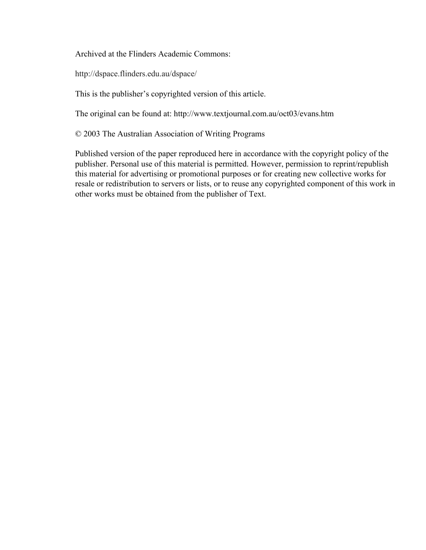Archived at the Flinders Academic Commons:

http://dspace.flinders.edu.au/dspace/

This is the publisher's copyrighted version of this article.

The original can be found at: http://www.textjournal.com.au/oct03/evans.htm

© 2003 The Australian Association of Writing Programs

Published version of the paper reproduced here in accordance with the copyright policy of the publisher. Personal use of this material is permitted. However, permission to reprint/republish this material for advertising or promotional purposes or for creating new collective works for resale or redistribution to servers or lists, or to reuse any copyrighted component of this work in other works must be obtained from the publisher of Text.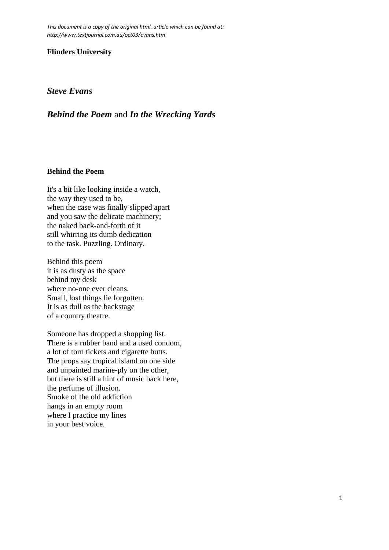*This document is a copy of the original html. article which can be found at: http://www.textjournal.com.au/oct03/evans.htm*

#### **Flinders University**

### *Steve Evans*

# *Behind the Poem* and *In the Wrecking Yards*

#### **Behind the Poem**

It's a bit like looking inside a watch, the way they used to be, when the case was finally slipped apart and you saw the delicate machinery; the naked back-and-forth of it still whirring its dumb dedication to the task. Puzzling. Ordinary.

Behind this poem it is as dusty as the space behind my desk where no-one ever cleans. Small, lost things lie forgotten. It is as dull as the backstage of a country theatre.

Someone has dropped a shopping list. There is a rubber band and a used condom, a lot of torn tickets and cigarette butts. The props say tropical island on one side and unpainted marine-ply on the other, but there is still a hint of music back here, the perfume of illusion. Smoke of the old addiction hangs in an empty room where I practice my lines in your best voice.